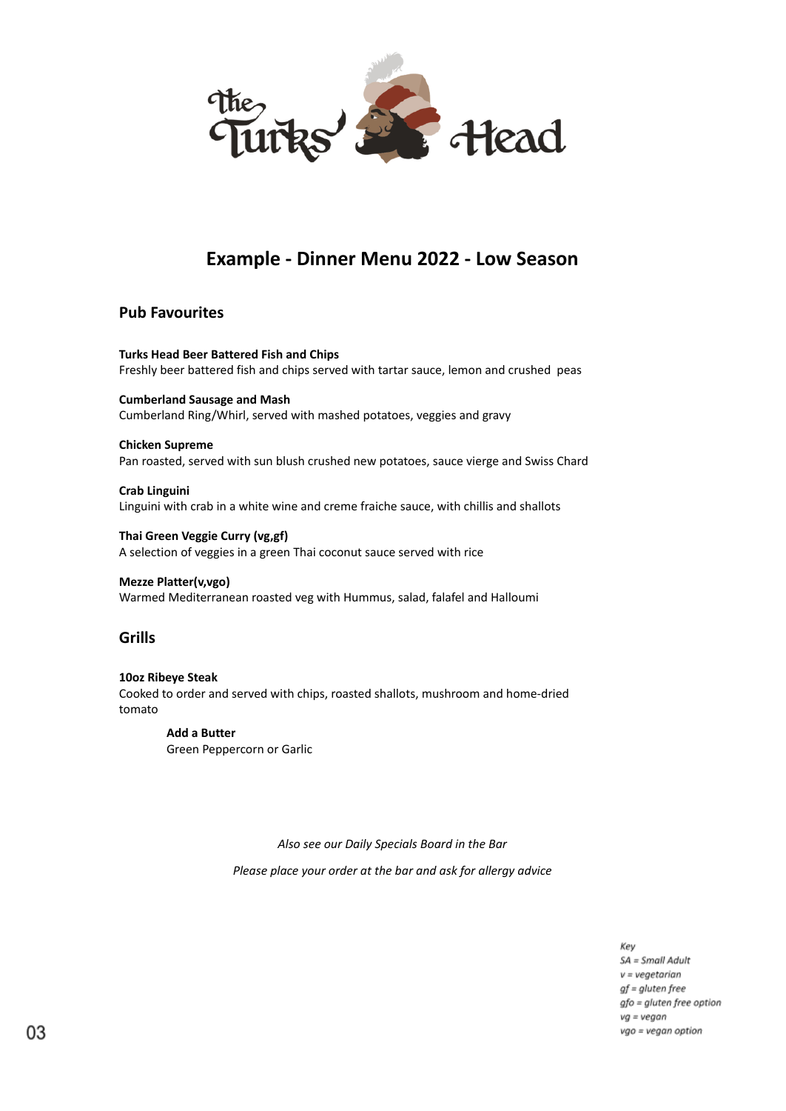

# **Example - Dinner Menu 2022 - Low Season**

# **Pub Favourites**

**Turks Head Beer Battered Fish and Chips** Freshly beer battered fish and chips served with tartar sauce, lemon and crushed peas

**Cumberland Sausage and Mash** Cumberland Ring/Whirl, served with mashed potatoes, veggies and gravy

## **Chicken Supreme**

Pan roasted, served with sun blush crushed new potatoes, sauce vierge and Swiss Chard

**Crab Linguini** Linguini with crab in a white wine and creme fraiche sauce, with chillis and shallots

**Thai Green Veggie Curry (vg,gf)** A selection of veggies in a green Thai coconut sauce served with rice

## **Mezze Platter(v,vgo)**

Warmed Mediterranean roasted veg with Hummus, salad, falafel and Halloumi

# **Grills**

**10oz Ribeye Steak** Cooked to order and served with chips, roasted shallots, mushroom and home-dried tomato

> **Add a Butter** Green Peppercorn or Garlic

> > *Also see our Daily Specials Board in the Bar*

*Please place your order at the bar and ask for allergy advice*

Key SA = Small Adult  $v = vegetarian$  $gf = gluten free$ gfo = gluten free option  $vg = vegan$ vgo = vegan option